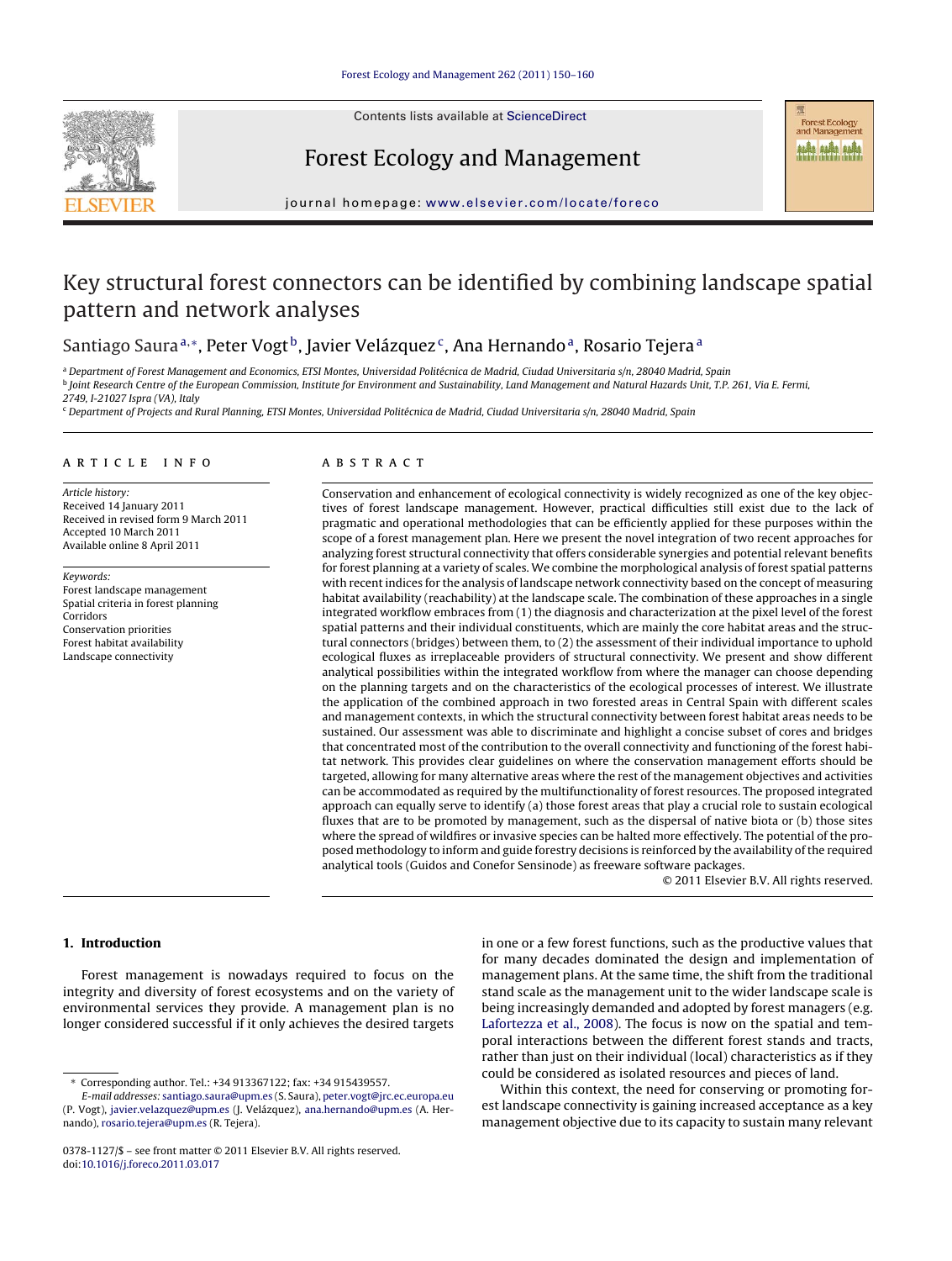

Contents lists available at [ScienceDirect](http://www.sciencedirect.com/science/journal/03781127)

## Forest Ecology and Management

**Forest Ecology** and Management 輔 輔

#### journal homepage: [www.elsevier.com/locate/foreco](http://www.elsevier.com/locate/foreco)

# Key structural forest connectors can be identified by combining landscape spatial pattern and network analyses

# Santiago Saura<sup>a,</sup>\*, Peter Vogt<sup>b</sup>, Javier Velázquez<sup>c</sup>, Ana Hernando<sup>a</sup>, Rosario Tejera<sup>a</sup>

<sup>a</sup> Department of Forest Management and Economics, ETSI Montes, Universidad Politécnica de Madrid, Ciudad Universitaria s/n, 28040 Madrid, Spain **b** Joint Research Centre of the European Commission, Institute for Environment and Sustainability, Land Management and Natural Hazards Unit, T.P. 261, Via E. Fermi, 2749, I-21027 Ispra (VA), Italy

<sup>c</sup> Department of Projects and Rural Planning, ETSI Montes, Universidad Politécnica de Madrid, Ciudad Universitaria s/n, 28040 Madrid, Spain

## article info

Article history: Received 14 January 2011 Received in revised form 9 March 2011 Accepted 10 March 2011 Available online 8 April 2011

Keywords: Forest landscape management Spatial criteria in forest planning Corridors Conservation priorities Forest habitat availability Landscape connectivity

### ABSTRACT

Conservation and enhancement of ecological connectivity is widely recognized as one of the key objectives of forest landscape management. However, practical difficulties still exist due to the lack of pragmatic and operational methodologies that can be efficiently applied for these purposes within the scope of a forest management plan. Here we present the novel integration of two recent approaches for analyzing forest structural connectivity that offers considerable synergies and potential relevant benefits for forest planning at a variety of scales. We combine the morphological analysis of forest spatial patterns with recent indices for the analysis of landscape network connectivity based on the concept of measuring habitat availability (reachability) at the landscape scale. The combination of these approaches in a single integrated workflow embraces from (1) the diagnosis and characterization at the pixel level of the forest spatial patterns and their individual constituents, which are mainly the core habitat areas and the structural connectors (bridges) between them, to (2) the assessment of their individual importance to uphold ecological fluxes as irreplaceable providers of structural connectivity. We present and show different analytical possibilities within the integrated workflow from where the manager can choose depending on the planning targets and on the characteristics of the ecological processes of interest. We illustrate the application of the combined approach in two forested areas in Central Spain with different scales and management contexts, in which the structural connectivity between forest habitat areas needs to be sustained. Our assessment was able to discriminate and highlight a concise subset of cores and bridges that concentrated most of the contribution to the overall connectivity and functioning of the forest habitat network. This provides clear guidelines on where the conservation management efforts should be targeted, allowing for many alternative areas where the rest of the management objectives and activities can be accommodated as required by the multifunctionality of forest resources. The proposed integrated approach can equally serve to identify (a) those forest areas that play a crucial role to sustain ecological fluxes that are to be promoted by management, such as the dispersal of native biota or (b) those sites where the spread of wildfires or invasive species can be halted more effectively. The potential of the proposed methodology to inform and guide forestry decisions is reinforced by the availability of the required analytical tools (Guidos and Conefor Sensinode) as freeware software packages.

© 2011 Elsevier B.V. All rights reserved.

## **1. Introduction**

Forest management is nowadays required to focus on the integrity and diversity of forest ecosystems and on the variety of environmental services they provide. A management plan is no longer considered successful if it only achieves the desired targets

∗ Corresponding author. Tel.: +34 913367122; fax: +34 915439557.

in one or a few forest functions, such as the productive values that for many decades dominated the design and implementation of management plans. At the same time, the shift from the traditional stand scale as the management unit to the wider landscape scale is being increasingly demanded and adopted by forest managers (e.g. [Lafortezza et al., 2008\).](#page-10-0) The focus is now on the spatial and temporal interactions between the different forest stands and tracts, rather than just on their individual (local) characteristics as if they could be considered as isolated resources and pieces of land.

Within this context, the need for conserving or promoting forest landscape connectivity is gaining increased acceptance as a key management objective due to its capacity to sustain many relevant

E-mail addresses: [santiago.saura@upm.es](mailto:santiago.saura@upm.es) (S. Saura), [peter.vogt@jrc.ec.europa.eu](mailto:peter.vogt@jrc.ec.europa.eu) (P. Vogt), [javier.velazquez@upm.es](mailto:javier.velazquez@upm.es) (J. Velázquez), [ana.hernando@upm.es](mailto:ana.hernando@upm.es) (A. Hernando), [rosario.tejera@upm.es](mailto:rosario.tejera@upm.es) (R. Tejera).

<sup>0378-1127/\$ –</sup> see front matter © 2011 Elsevier B.V. All rights reserved. doi:[10.1016/j.foreco.2011.03.017](dx.doi.org/10.1016/j.foreco.2011.03.017)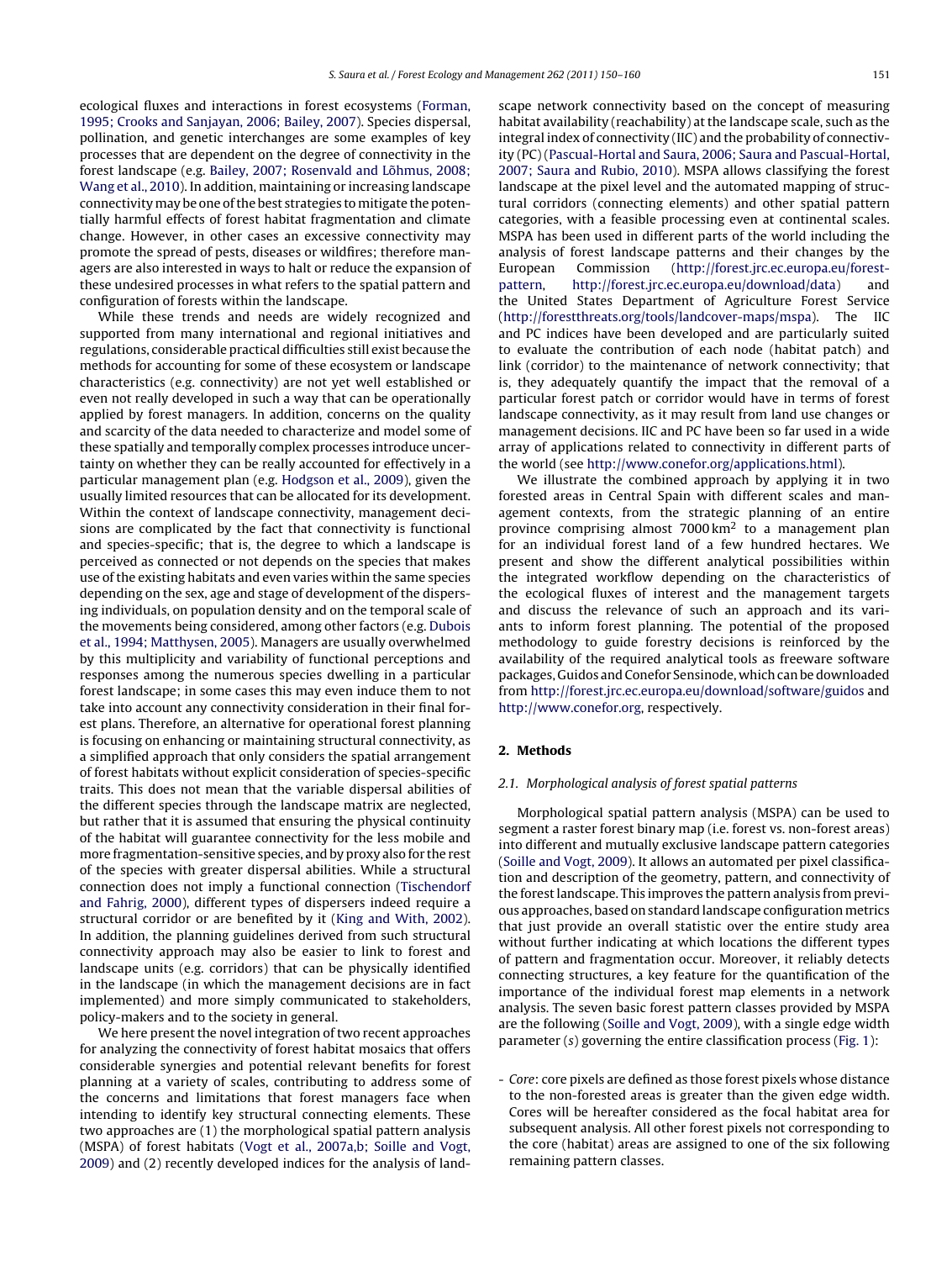<span id="page-1-0"></span>ecological fluxes and interactions in forest ecosystems [\(Forman,](#page-10-0) [1995; Crooks and Sanjayan, 2006; Bailey, 2007\).](#page-10-0) Species dispersal, pollination, and genetic interchanges are some examples of key processes that are dependent on the degree of connectivity in the forest landscape (e.g. [Bailey, 2007; Rosenvald and Lõhmus, 2008;](#page-9-0) [Wang et al., 2010\).](#page-9-0) In addition, maintaining or increasing landscape connectivitymay be one of the best strategies tomitigate the potentially harmful effects of forest habitat fragmentation and climate change. However, in other cases an excessive connectivity may promote the spread of pests, diseases or wildfires; therefore managers are also interested in ways to halt or reduce the expansion of these undesired processes in what refers to the spatial pattern and configuration of forests within the landscape.

While these trends and needs are widely recognized and supported from many international and regional initiatives and regulations, considerable practical difficulties still exist because the methods for accounting for some of these ecosystem or landscape characteristics (e.g. connectivity) are not yet well established or even not really developed in such a way that can be operationally applied by forest managers. In addition, concerns on the quality and scarcity of the data needed to characterize and model some of these spatially and temporally complex processes introduce uncertainty on whether they can be really accounted for effectively in a particular management plan (e.g. [Hodgson et al., 2009\),](#page-10-0) given the usually limited resources that can be allocated for its development. Within the context of landscape connectivity, management decisions are complicated by the fact that connectivity is functional and species-specific; that is, the degree to which a landscape is perceived as connected or not depends on the species that makes use of the existing habitats and even varies within the same species depending on the sex, age and stage of development of the dispersing individuals, on population density and on the temporal scale of the movements being considered, among other factors (e.g. [Dubois](#page-10-0) [et al., 1994; Matthysen, 2005\).](#page-10-0) Managers are usually overwhelmed by this multiplicity and variability of functional perceptions and responses among the numerous species dwelling in a particular forest landscape; in some cases this may even induce them to not take into account any connectivity consideration in their final forest plans. Therefore, an alternative for operational forest planning is focusing on enhancing or maintaining structural connectivity, as a simplified approach that only considers the spatial arrangement of forest habitats without explicit consideration of species-specific traits. This does not mean that the variable dispersal abilities of the different species through the landscape matrix are neglected, but rather that it is assumed that ensuring the physical continuity of the habitat will guarantee connectivity for the less mobile and more fragmentation-sensitive species, and by proxy also for the rest of the species with greater dispersal abilities. While a structural connection does not imply a functional connection [\(Tischendorf](#page-10-0) [and Fahrig, 2000\),](#page-10-0) different types of dispersers indeed require a structural corridor or are benefited by it ([King and With, 2002\).](#page-10-0) In addition, the planning guidelines derived from such structural connectivity approach may also be easier to link to forest and landscape units (e.g. corridors) that can be physically identified in the landscape (in which the management decisions are in fact implemented) and more simply communicated to stakeholders, policy-makers and to the society in general.

We here present the novel integration of two recent approaches for analyzing the connectivity of forest habitat mosaics that offers considerable synergies and potential relevant benefits for forest planning at a variety of scales, contributing to address some of the concerns and limitations that forest managers face when intending to identify key structural connecting elements. These two approaches are (1) the morphological spatial pattern analysis (MSPA) of forest habitats ([Vogt et al., 2007a,b; Soille and Vogt,](#page-10-0) [2009\)](#page-10-0) and (2) recently developed indices for the analysis of landscape network connectivity based on the concept of measuring habitat availability (reachability) at the landscape scale, such as the integral index of connectivity (IIC) and the probability of connectivity (PC) ([Pascual-Hortal and Saura, 2006; Saura and Pascual-Hortal,](#page-10-0) [2007; Saura and Rubio, 2010\).](#page-10-0) MSPA allows classifying the forest landscape at the pixel level and the automated mapping of structural corridors (connecting elements) and other spatial pattern categories, with a feasible processing even at continental scales. MSPA has been used in different parts of the world including the analysis of forest landscape patterns and their changes by the European Commission [\(http://forest.jrc.ec.europa.eu/forest](http://forest.jrc.ec.europa.eu/forest-pattern)pattern, <http://forest.jrc.ec.europa.eu/download/data>) and the United States Department of Agriculture Forest Service [\(http://forestthreats.org/tools/landcover-maps/mspa](http://forestthreats.org/tools/landcover-maps/mspa)). The IIC and PC indices have been developed and are particularly suited to evaluate the contribution of each node (habitat patch) and link (corridor) to the maintenance of network connectivity; that is, they adequately quantify the impact that the removal of a particular forest patch or corridor would have in terms of forest landscape connectivity, as it may result from land use changes or management decisions. IIC and PC have been so far used in a wide array of applications related to connectivity in different parts of the world (see <http://www.conefor.org/applications.html>).

We illustrate the combined approach by applying it in two forested areas in Central Spain with different scales and management contexts, from the strategic planning of an entire province comprising almost 7000 km2 to a management plan for an individual forest land of a few hundred hectares. We present and show the different analytical possibilities within the integrated workflow depending on the characteristics of the ecological fluxes of interest and the management targets and discuss the relevance of such an approach and its variants to inform forest planning. The potential of the proposed methodology to guide forestry decisions is reinforced by the availability of the required analytical tools as freeware software packages, Guidos and Conefor Sensinode, which can be downloaded from <http://forest.jrc.ec.europa.eu/download/software/guidos> and [http://www.conefor.org,](http://www.conefor.org/) respectively.

#### **2. Methods**

### 2.1. Morphological analysis of forest spatial patterns

Morphological spatial pattern analysis (MSPA) can be used to segment a raster forest binary map (i.e. forest vs. non-forest areas) into different and mutually exclusive landscape pattern categories [\(Soille and Vogt, 2009\).](#page-10-0) It allows an automated per pixel classification and description of the geometry, pattern, and connectivity of the forest landscape. This improves the pattern analysis from previous approaches, based on standard landscape configuration metrics that just provide an overall statistic over the entire study area without further indicating at which locations the different types of pattern and fragmentation occur. Moreover, it reliably detects connecting structures, a key feature for the quantification of the importance of the individual forest map elements in a network analysis. The seven basic forest pattern classes provided by MSPA are the following [\(Soille and Vogt, 2009\),](#page-10-0) with a single edge width parameter (s) governing the entire classification process ([Fig. 1\):](#page-2-0)

- Core: core pixels are defined as those forest pixels whose distance to the non-forested areas is greater than the given edge width. Cores will be hereafter considered as the focal habitat area for subsequent analysis. All other forest pixels not corresponding to the core (habitat) areas are assigned to one of the six following remaining pattern classes.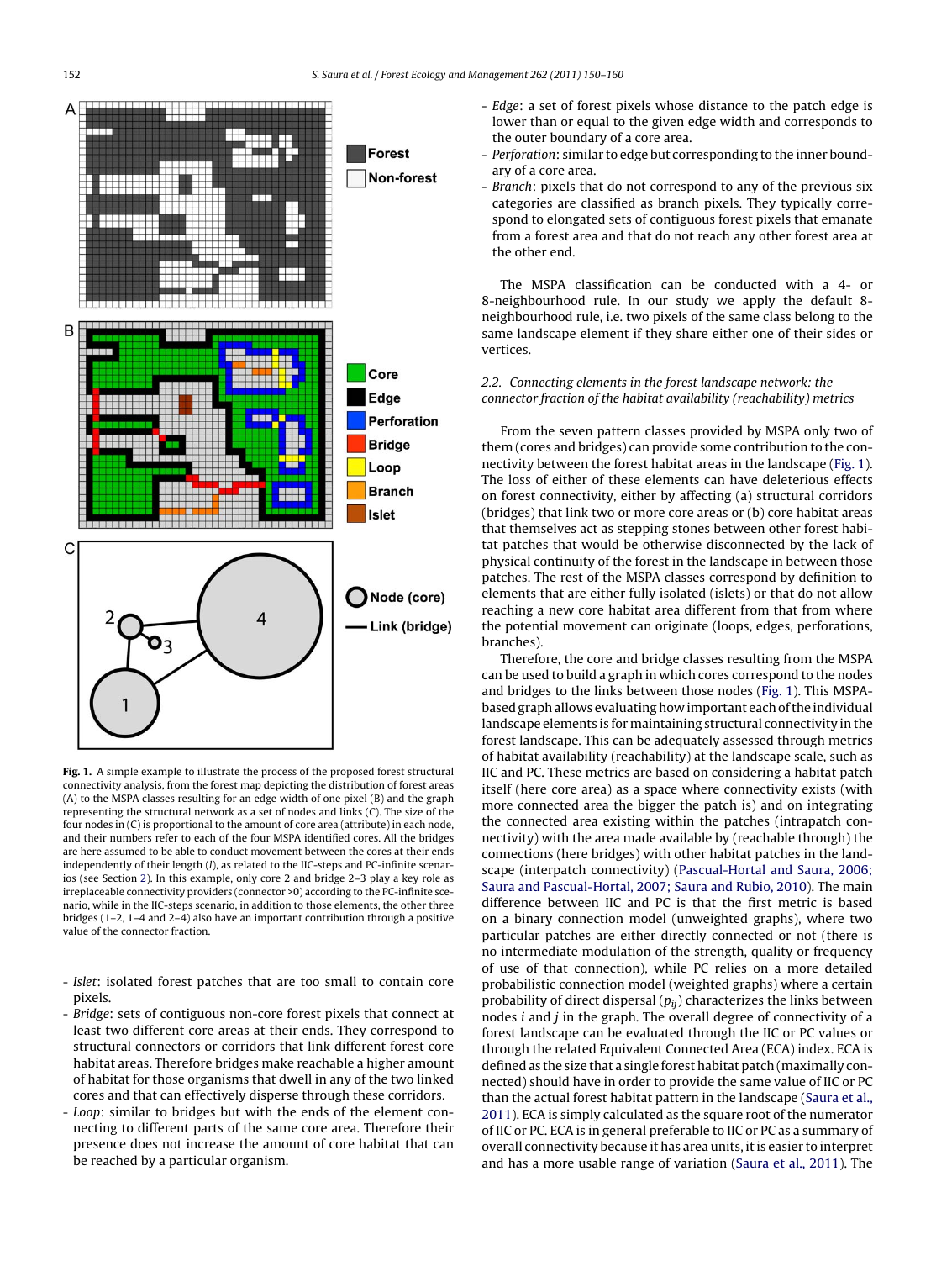<span id="page-2-0"></span>

**Fig. 1.** A simple example to illustrate the process of the proposed forest structural connectivity analysis, from the forest map depicting the distribution of forest areas (A) to the MSPA classes resulting for an edge width of one pixel (B) and the graph representing the structural network as a set of nodes and links (C). The size of the four nodes in (C) is proportional to the amount of core area (attribute) in each node, and their numbers refer to each of the four MSPA identified cores. All the bridges are here assumed to be able to conduct movement between the cores at their ends independently of their length (1), as related to the IIC-steps and PC-infinite scenarios (see Section [2\).](#page-1-0) In this example, only core 2 and bridge 2–3 play a key role as irreplaceable connectivity providers (connector >0) according to the PC-infinite scenario, while in the IIC-steps scenario, in addition to those elements, the other three bridges (1–2, 1–4 and 2–4) also have an important contribution through a positive value of the connector fraction.

- Islet: isolated forest patches that are too small to contain core pixels.
- Bridge: sets of contiguous non-core forest pixels that connect at least two different core areas at their ends. They correspond to structural connectors or corridors that link different forest core habitat areas. Therefore bridges make reachable a higher amount of habitat for those organisms that dwell in any of the two linked cores and that can effectively disperse through these corridors.
- Loop: similar to bridges but with the ends of the element connecting to different parts of the same core area. Therefore their presence does not increase the amount of core habitat that can be reached by a particular organism.
- Edge: a set of forest pixels whose distance to the patch edge is lower than or equal to the given edge width and corresponds to the outer boundary of a core area.
- Perforation: similar to edge but corresponding to the inner boundary of a core area.
- Branch: pixels that do not correspond to any of the previous six categories are classified as branch pixels. They typically correspond to elongated sets of contiguous forest pixels that emanate from a forest area and that do not reach any other forest area at the other end.

The MSPA classification can be conducted with a 4- or 8-neighbourhood rule. In our study we apply the default 8 neighbourhood rule, i.e. two pixels of the same class belong to the same landscape element if they share either one of their sides or vertices.

## 2.2. Connecting elements in the forest landscape network: the connector fraction of the habitat availability (reachability) metrics

From the seven pattern classes provided by MSPA only two of them (cores and bridges) can provide some contribution to the connectivity between the forest habitat areas in the landscape (Fig. 1). The loss of either of these elements can have deleterious effects on forest connectivity, either by affecting (a) structural corridors (bridges) that link two or more core areas or (b) core habitat areas that themselves act as stepping stones between other forest habitat patches that would be otherwise disconnected by the lack of physical continuity of the forest in the landscape in between those patches. The rest of the MSPA classes correspond by definition to elements that are either fully isolated (islets) or that do not allow reaching a new core habitat area different from that from where the potential movement can originate (loops, edges, perforations, branches).

Therefore, the core and bridge classes resulting from the MSPA can be used to build a graph in which cores correspond to the nodes and bridges to the links between those nodes (Fig. 1). This MSPAbased graph allows evaluating how important each of the individual landscape elements is for maintaining structural connectivity in the forest landscape. This can be adequately assessed through metrics of habitat availability (reachability) at the landscape scale, such as IIC and PC. These metrics are based on considering a habitat patch itself (here core area) as a space where connectivity exists (with more connected area the bigger the patch is) and on integrating the connected area existing within the patches (intrapatch connectivity) with the area made available by (reachable through) the connections (here bridges) with other habitat patches in the landscape (interpatch connectivity) [\(Pascual-Hortal and Saura, 2006;](#page-10-0) [Saura and Pascual-Hortal, 2007; Saura and Rubio, 2010\).](#page-10-0) The main difference between IIC and PC is that the first metric is based on a binary connection model (unweighted graphs), where two particular patches are either directly connected or not (there is no intermediate modulation of the strength, quality or frequency of use of that connection), while PC relies on a more detailed probabilistic connection model (weighted graphs) where a certain probability of direct dispersal  $(p_{ii})$  characterizes the links between nodes i and j in the graph. The overall degree of connectivity of a forest landscape can be evaluated through the IIC or PC values or through the related Equivalent Connected Area (ECA) index. ECA is defined as the size that a single forest habitat patch (maximally connected) should have in order to provide the same value of IIC or PC than the actual forest habitat pattern in the landscape ([Saura et al.,](#page-10-0) [2011\).](#page-10-0) ECA is simply calculated as the square root of the numerator of IIC or PC. ECA is in general preferable to IIC or PC as a summary of overall connectivity because it has area units, it is easier to interpret and has a more usable range of variation ([Saura et al., 2011\).](#page-10-0) The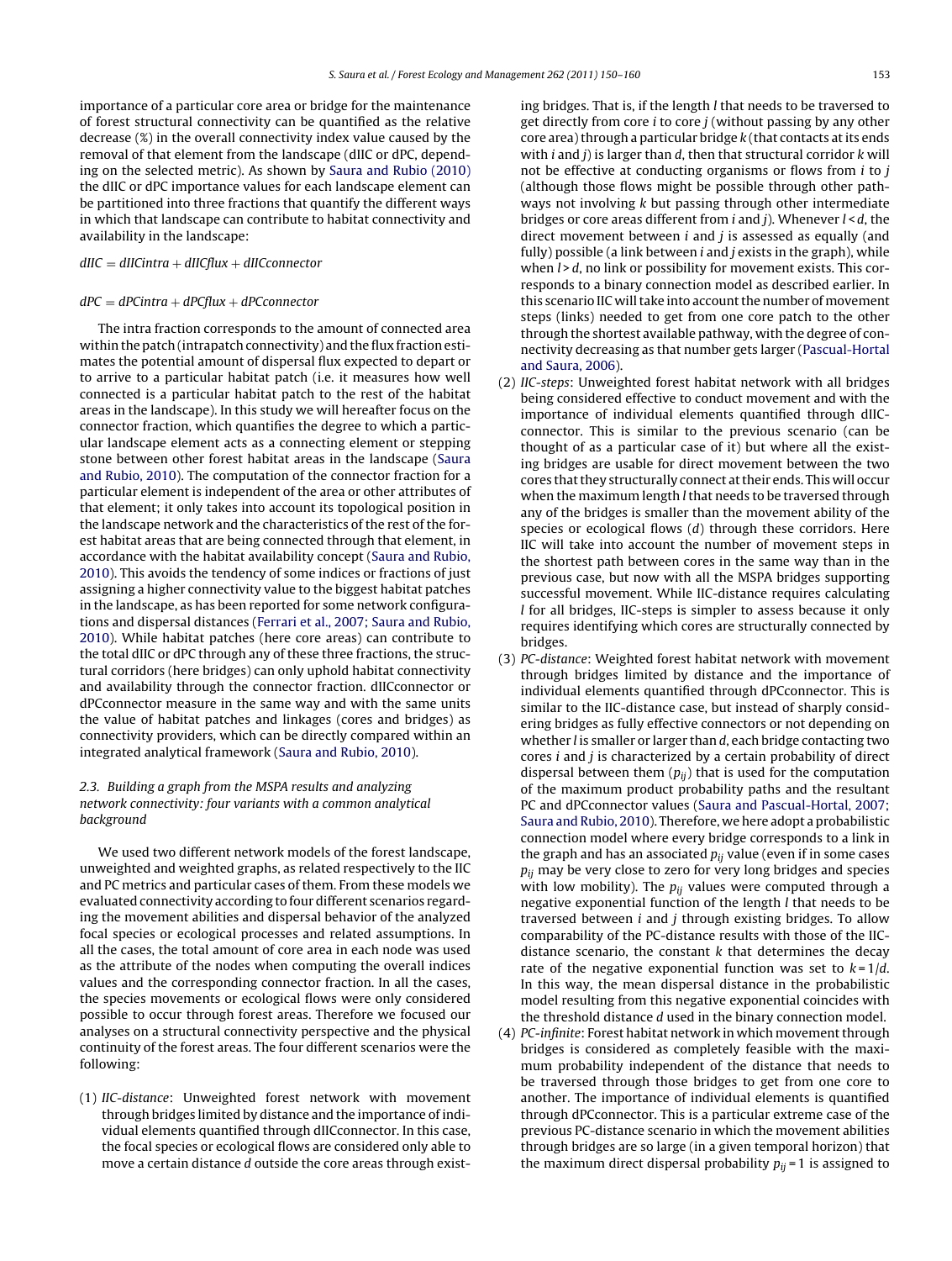importance of a particular core area or bridge for the maintenance of forest structural connectivity can be quantified as the relative decrease (%) in the overall connectivity index value caused by the removal of that element from the landscape (dIIC or dPC, depending on the selected metric). As shown by [Saura and Rubio \(2010\)](#page-10-0) the dIIC or dPC importance values for each landscape element can be partitioned into three fractions that quantify the different ways in which that landscape can contribute to habitat connectivity and availability in the landscape:

 $dIIC = dIICintra + dIICflux + dIICconnector$ 

## $dPC = dP C$ intra + dPCflux + dPCconnector

The intra fraction corresponds to the amount of connected area within the patch (intrapatch connectivity) and the flux fraction estimates the potential amount of dispersal flux expected to depart or to arrive to a particular habitat patch (i.e. it measures how well connected is a particular habitat patch to the rest of the habitat areas in the landscape). In this study we will hereafter focus on the connector fraction, which quantifies the degree to which a particular landscape element acts as a connecting element or stepping stone between other forest habitat areas in the landscape ([Saura](#page-10-0) [and Rubio, 2010\).](#page-10-0) The computation of the connector fraction for a particular element is independent of the area or other attributes of that element; it only takes into account its topological position in the landscape network and the characteristics of the rest of the forest habitat areas that are being connected through that element, in accordance with the habitat availability concept ([Saura and Rubio,](#page-10-0) [2010\).](#page-10-0) This avoids the tendency of some indices or fractions of just assigning a higher connectivity value to the biggest habitat patches in the landscape, as has been reported for some network configurations and dispersal distances ([Ferrari et al., 2007; Saura and Rubio,](#page-10-0) [2010\).](#page-10-0) While habitat patches (here core areas) can contribute to the total dIIC or dPC through any of these three fractions, the structural corridors (here bridges) can only uphold habitat connectivity and availability through the connector fraction. dIICconnector or dPCconnector measure in the same way and with the same units the value of habitat patches and linkages (cores and bridges) as connectivity providers, which can be directly compared within an integrated analytical framework ([Saura and Rubio, 2010\).](#page-10-0)

## 2.3. Building a graph from the MSPA results and analyzing network connectivity: four variants with a common analytical background

We used two different network models of the forest landscape, unweighted and weighted graphs, as related respectively to the IIC and PC metrics and particular cases of them. From these models we evaluated connectivity according to four different scenarios regarding the movement abilities and dispersal behavior of the analyzed focal species or ecological processes and related assumptions. In all the cases, the total amount of core area in each node was used as the attribute of the nodes when computing the overall indices values and the corresponding connector fraction. In all the cases, the species movements or ecological flows were only considered possible to occur through forest areas. Therefore we focused our analyses on a structural connectivity perspective and the physical continuity of the forest areas. The four different scenarios were the following:

(1) IIC-distance: Unweighted forest network with movement through bridges limited by distance and the importance of individual elements quantified through dIICconnector. In this case, the focal species or ecological flows are considered only able to move a certain distance d outside the core areas through existing bridges. That is, if the length l that needs to be traversed to get directly from core  $i$  to core  $j$  (without passing by any other core area) through a particular bridge k (that contacts at its ends with  $i$  and  $j$ ) is larger than  $d$ , then that structural corridor  $k$  will not be effective at conducting organisms or flows from  $i$  to  $j$ (although those flows might be possible through other pathways not involving  $k$  but passing through other intermediate bridges or core areas different from *i* and *j*). Whenever  $l < d$ , the direct movement between  $i$  and  $j$  is assessed as equally (and fully) possible (a link between  $i$  and  $j$  exists in the graph), while when  $l > d$ , no link or possibility for movement exists. This corresponds to a binary connection model as described earlier. In this scenario IIC will take into account the number of movement steps (links) needed to get from one core patch to the other through the shortest available pathway, with the degree of connectivity decreasing as that number gets larger ([Pascual-Hortal](#page-10-0) [and Saura, 2006\).](#page-10-0)

- (2) IIC-steps: Unweighted forest habitat network with all bridges being considered effective to conduct movement and with the importance of individual elements quantified through dIICconnector. This is similar to the previous scenario (can be thought of as a particular case of it) but where all the existing bridges are usable for direct movement between the two cores that they structurally connect at their ends. This will occur when the maximum length *l* that needs to be traversed through any of the bridges is smaller than the movement ability of the species or ecological flows (d) through these corridors. Here IIC will take into account the number of movement steps in the shortest path between cores in the same way than in the previous case, but now with all the MSPA bridges supporting successful movement. While IIC-distance requires calculating l for all bridges, IIC-steps is simpler to assess because it only requires identifying which cores are structurally connected by bridges.
- (3) PC-distance: Weighted forest habitat network with movement through bridges limited by distance and the importance of individual elements quantified through dPCconnector. This is similar to the IIC-distance case, but instead of sharply considering bridges as fully effective connectors or not depending on whether *l* is smaller or larger than *d*, each bridge contacting two cores  $i$  and  $j$  is characterized by a certain probability of direct dispersal between them  $(p_{ij})$  that is used for the computation of the maximum product probability paths and the resultant PC and dPCconnector values ([Saura and Pascual-Hortal, 2007;](#page-10-0) [Saura and Rubio, 2010\).](#page-10-0) Therefore, we here adopt a probabilistic connection model where every bridge corresponds to a link in the graph and has an associated  $p_{ij}$  value (even if in some cases  $p_{ij}$  may be very close to zero for very long bridges and species with low mobility). The  $p_{ij}$  values were computed through a negative exponential function of the length l that needs to be traversed between  $i$  and  $j$  through existing bridges. To allow comparability of the PC-distance results with those of the IICdistance scenario, the constant  $k$  that determines the decay rate of the negative exponential function was set to  $k = 1/d$ . In this way, the mean dispersal distance in the probabilistic model resulting from this negative exponential coincides with the threshold distance d used in the binary connection model.
- (4) PC-infinite: Forest habitat network in which movement through bridges is considered as completely feasible with the maximum probability independent of the distance that needs to be traversed through those bridges to get from one core to another. The importance of individual elements is quantified through dPCconnector. This is a particular extreme case of the previous PC-distance scenario in which the movement abilities through bridges are so large (in a given temporal horizon) that the maximum direct dispersal probability  $p_{ii}$  = 1 is assigned to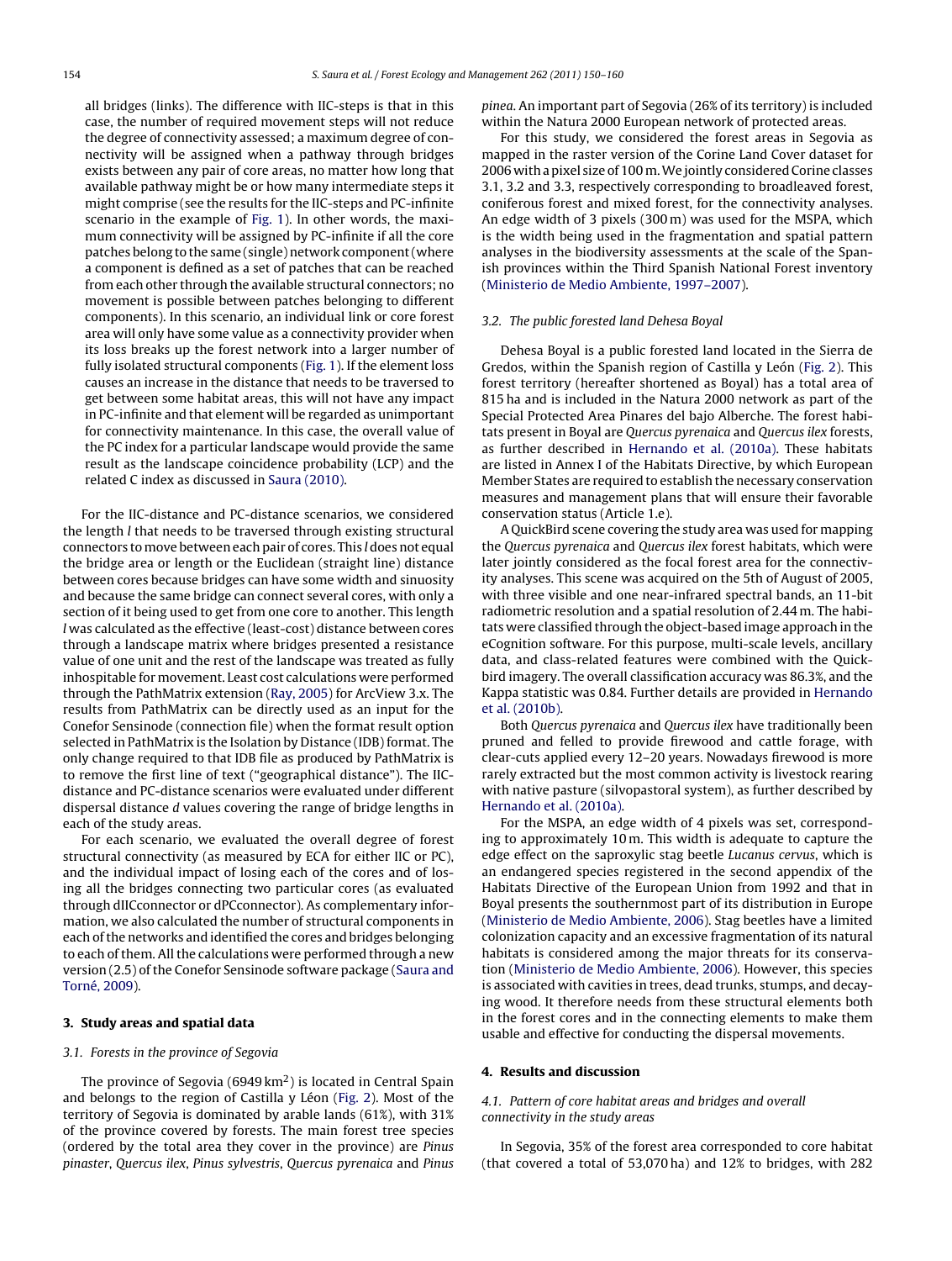all bridges (links). The difference with IIC-steps is that in this case, the number of required movement steps will not reduce the degree of connectivity assessed; a maximum degree of connectivity will be assigned when a pathway through bridges exists between any pair of core areas, no matter how long that available pathway might be or how many intermediate steps it might comprise (see the results for the IIC-steps and PC-infinite scenario in the example of [Fig. 1\).](#page-2-0) In other words, the maximum connectivity will be assigned by PC-infinite if all the core patches belong to the same (single) network component (where a component is defined as a set of patches that can be reached from each other through the available structural connectors; no movement is possible between patches belonging to different components). In this scenario, an individual link or core forest area will only have some value as a connectivity provider when its loss breaks up the forest network into a larger number of fully isolated structural components [\(Fig. 1\).](#page-2-0) If the element loss causes an increase in the distance that needs to be traversed to get between some habitat areas, this will not have any impact in PC-infinite and that element will be regarded as unimportant for connectivity maintenance. In this case, the overall value of the PC index for a particular landscape would provide the same result as the landscape coincidence probability (LCP) and the related C index as discussed in [Saura \(2010\).](#page-10-0)

For the IIC-distance and PC-distance scenarios, we considered the length l that needs to be traversed through existing structural connectors to move between each pair of cores. This l does not equal the bridge area or length or the Euclidean (straight line) distance between cores because bridges can have some width and sinuosity and because the same bridge can connect several cores, with only a section of it being used to get from one core to another. This length l was calculated as the effective (least-cost) distance between cores through a landscape matrix where bridges presented a resistance value of one unit and the rest of the landscape was treated as fully inhospitable for movement. Least cost calculations were performed through the PathMatrix extension ([Ray, 2005\) f](#page-10-0)or ArcView 3.x. The results from PathMatrix can be directly used as an input for the Conefor Sensinode (connection file) when the format result option selected in PathMatrix is the Isolation by Distance (IDB) format. The only change required to that IDB file as produced by PathMatrix is to remove the first line of text ("geographical distance"). The IICdistance and PC-distance scenarios were evaluated under different dispersal distance d values covering the range of bridge lengths in each of the study areas.

For each scenario, we evaluated the overall degree of forest structural connectivity (as measured by ECA for either IIC or PC), and the individual impact of losing each of the cores and of losing all the bridges connecting two particular cores (as evaluated through dIICconnector or dPCconnector). As complementary information, we also calculated the number of structural components in each of the networks and identified the cores and bridges belonging to each of them. All the calculations were performed through a new version (2.5) of the Conefor Sensinode software package [\(Saura and](#page-10-0) [Torné, 2009\).](#page-10-0)

#### **3. Study areas and spatial data**

#### 3.1. Forests in the province of Segovia

The province of Segovia ( $6949 \text{ km}^2$ ) is located in Central Spain and belongs to the region of Castilla y Léon [\(Fig. 2\).](#page-5-0) Most of the territory of Segovia is dominated by arable lands (61%), with 31% of the province covered by forests. The main forest tree species (ordered by the total area they cover in the province) are Pinus pinaster, Quercus ilex, Pinus sylvestris, Quercus pyrenaica and Pinus

pinea. An important part of Segovia (26% of its territory) is included within the Natura 2000 European network of protected areas.

For this study, we considered the forest areas in Segovia as mapped in the raster version of the Corine Land Cover dataset for 2006 with a pixel size of 100 m. We jointly considered Corine classes 3.1, 3.2 and 3.3, respectively corresponding to broadleaved forest, coniferous forest and mixed forest, for the connectivity analyses. An edge width of 3 pixels (300 m) was used for the MSPA, which is the width being used in the fragmentation and spatial pattern analyses in the biodiversity assessments at the scale of the Spanish provinces within the Third Spanish National Forest inventory [\(Ministerio de Medio Ambiente, 1997–2007\).](#page-10-0)

#### 3.2. The public forested land Dehesa Boyal

Dehesa Boyal is a public forested land located in the Sierra de Gredos, within the Spanish region of Castilla y León ([Fig. 2\).](#page-5-0) This forest territory (hereafter shortened as Boyal) has a total area of 815 ha and is included in the Natura 2000 network as part of the Special Protected Area Pinares del bajo Alberche. The forest habitats present in Boyal are Quercus pyrenaica and Quercus ilex forests, as further described in [Hernando et al. \(2010a\).](#page-10-0) These habitats are listed in Annex I of the Habitats Directive, by which European Member States are required to establish the necessary conservation measures and management plans that will ensure their favorable conservation status (Article 1.e).

A QuickBird scene covering the study area was used for mapping the Quercus pyrenaica and Quercus ilex forest habitats, which were later jointly considered as the focal forest area for the connectivity analyses. This scene was acquired on the 5th of August of 2005, with three visible and one near-infrared spectral bands, an 11-bit radiometric resolution and a spatial resolution of 2.44 m. The habitats were classified through the object-based image approach in the eCognition software. For this purpose, multi-scale levels, ancillary data, and class-related features were combined with the Quickbird imagery. The overall classification accuracy was 86.3%, and the Kappa statistic was 0.84. Further details are provided in [Hernando](#page-10-0) [et al. \(2010b\).](#page-10-0)

Both Quercus pyrenaica and Quercus ilex have traditionally been pruned and felled to provide firewood and cattle forage, with clear-cuts applied every 12–20 years. Nowadays firewood is more rarely extracted but the most common activity is livestock rearing with native pasture (silvopastoral system), as further described by [Hernando et al. \(2010a\).](#page-10-0)

For the MSPA, an edge width of 4 pixels was set, corresponding to approximately 10 m. This width is adequate to capture the edge effect on the saproxylic stag beetle Lucanus cervus, which is an endangered species registered in the second appendix of the Habitats Directive of the European Union from 1992 and that in Boyal presents the southernmost part of its distribution in Europe [\(Ministerio de Medio Ambiente, 2006\).](#page-10-0) Stag beetles have a limited colonization capacity and an excessive fragmentation of its natural habitats is considered among the major threats for its conservation [\(Ministerio de Medio Ambiente, 2006\).](#page-10-0) However, this species is associated with cavities in trees, dead trunks, stumps, and decaying wood. It therefore needs from these structural elements both in the forest cores and in the connecting elements to make them usable and effective for conducting the dispersal movements.

## **4. Results and discussion**

### 4.1. Pattern of core habitat areas and bridges and overall connectivity in the study areas

In Segovia, 35% of the forest area corresponded to core habitat (that covered a total of 53,070 ha) and 12% to bridges, with 282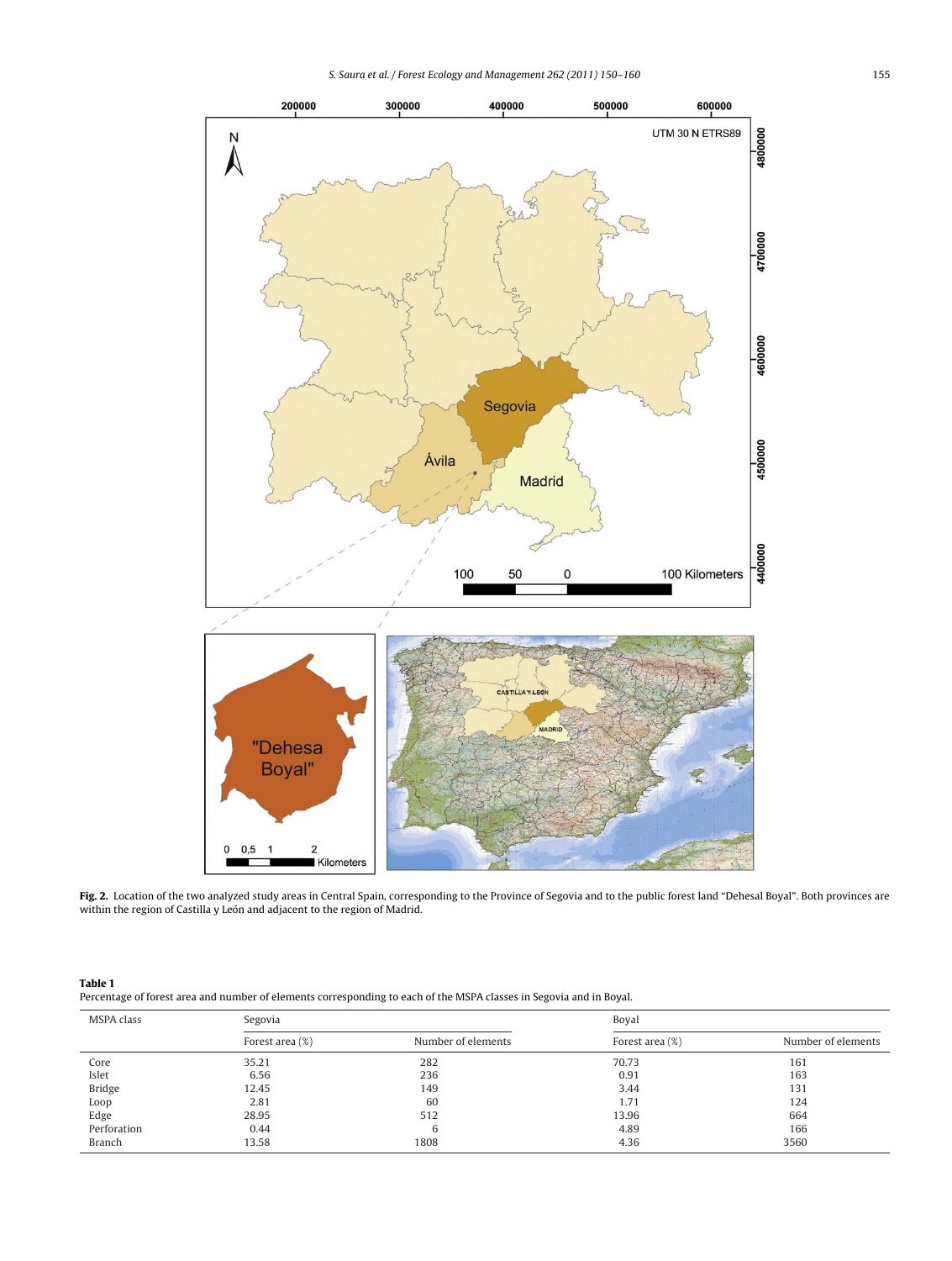<span id="page-5-0"></span>

**Fig. 2.** Location of the two analyzed study areas in Central Spain, corresponding to the Province of Segovia and to the public forest land "Dehesal Boyal". Both provinces are within the region of Castilla y León and adjacent to the region of Madrid.

| <b>Table 1</b> |                                                                                                                     |
|----------------|---------------------------------------------------------------------------------------------------------------------|
|                | Percentage of forest area and number of elements corresponding to each of the MSPA classes in Segovia and in Boyal. |

| MSPA class    | Segovia         |                    | Boyal           |                    |  |
|---------------|-----------------|--------------------|-----------------|--------------------|--|
|               | Forest area (%) | Number of elements | Forest area (%) | Number of elements |  |
| Core          | 35.21           | 282                | 70.73           | 161                |  |
| Islet         | 6.56            | 236                | 0.91            | 163                |  |
| <b>Bridge</b> | 12.45           | 149                | 3.44            | 131                |  |
| Loop          | 2.81            | 60                 | 1.71            | 124                |  |
| Edge          | 28.95           | 512                | 13.96           | 664                |  |
| Perforation   | 0.44            | b                  | 4.89            | 166                |  |
| Branch        | 13.58           | 1808               | 4.36            | 3560               |  |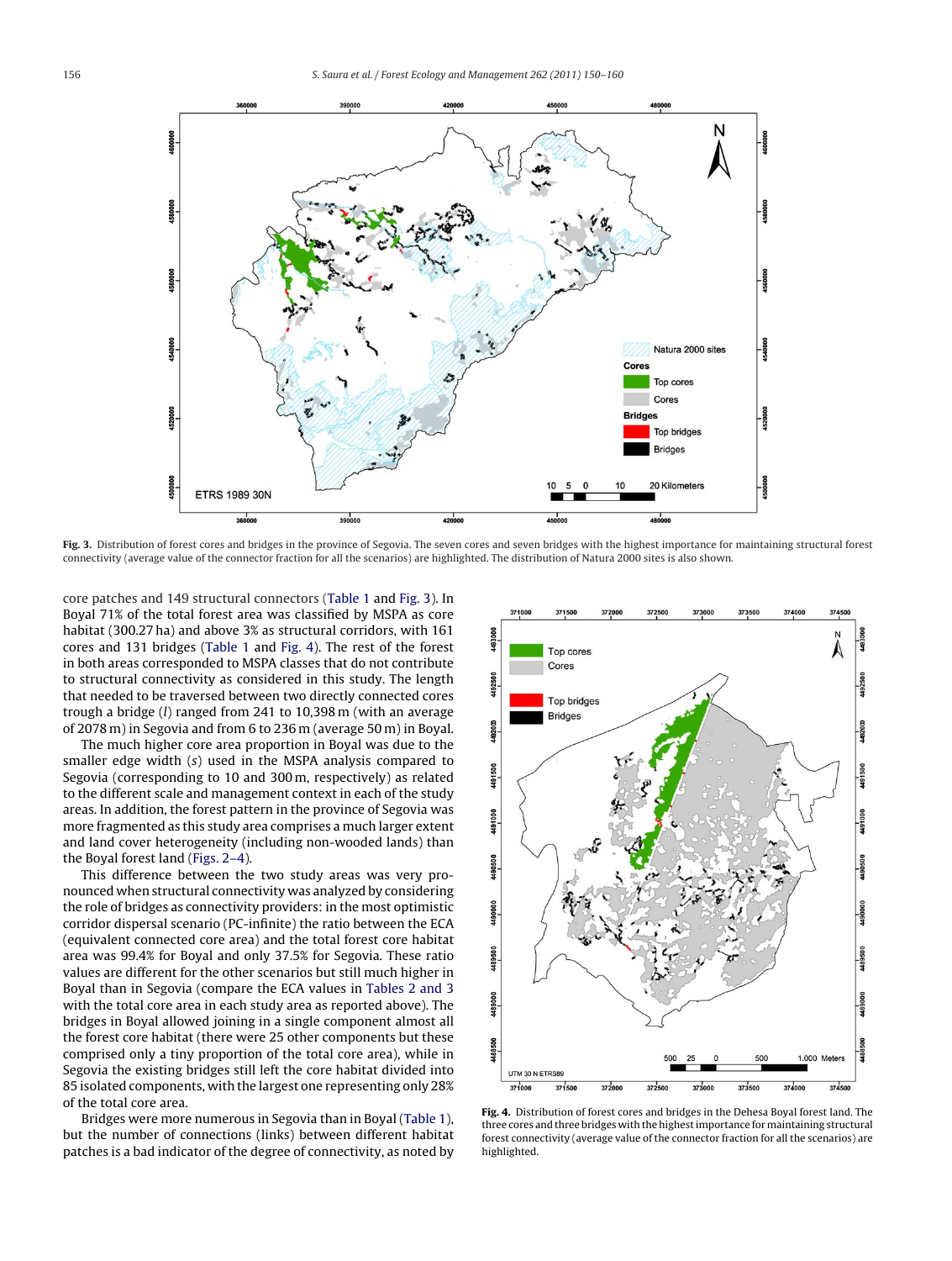<span id="page-6-0"></span>

Fig. 3. Distribution of forest cores and bridges in the province of Segovia. The seven cores and seven bridges with the highest importance for maintaining structural forest connectivity (average value of the connector fraction for all the scenarios) are highlighted. The distribution of Natura 2000 sites is also shown.

core patches and 149 structural connectors [\(Table 1](#page-5-0) and Fig. 3). In Boyal 71% of the total forest area was classified by MSPA as core habitat (300.27 ha) and above 3% as structural corridors, with 161 cores and 131 bridges ([Table 1](#page-5-0) and Fig. 4). The rest of the forest in both areas corresponded to MSPA classes that do not contribute to structural connectivity as considered in this study. The length that needed to be traversed between two directly connected cores trough a bridge (l) ranged from 241 to 10,398 m (with an average of 2078 m) in Segovia and from 6 to 236 m (average 50 m) in Boyal.

The much higher core area proportion in Boyal was due to the smaller edge width (s) used in the MSPA analysis compared to Segovia (corresponding to 10 and 300 m, respectively) as related to the different scale and management context in each of the study areas. In addition, the forest pattern in the province of Segovia was more fragmented as this study area comprises a much larger extent and land cover heterogeneity (including non-wooded lands) than the Boyal forest land ([Figs. 2–4\).](#page-5-0)

This difference between the two study areas was very pronounced when structural connectivity was analyzed by considering the role of bridges as connectivity providers: in the most optimistic corridor dispersal scenario (PC-infinite) the ratio between the ECA (equivalent connected core area) and the total forest core habitat area was 99.4% for Boyal and only 37.5% for Segovia. These ratio values are different for the other scenarios but still much higher in Boyal than in Segovia (compare the ECA values in [Tables 2 and 3](#page-7-0) with the total core area in each study area as reported above). The bridges in Boyal allowed joining in a single component almost all the forest core habitat (there were 25 other components but these comprised only a tiny proportion of the total core area), while in Segovia the existing bridges still left the core habitat divided into 85 isolated components, with the largest one representing only 28% of the total core area.

Bridges were more numerous in Segovia than in Boyal [\(Table 1\),](#page-5-0) but the number of connections (links) between different habitat patches is a bad indicator of the degree of connectivity, as noted by



**Fig. 4.** Distribution of forest cores and bridges in the Dehesa Boyal forest land. The three cores and three bridges with the highest importance for maintaining structural forest connectivity (average value of the connector fraction for all the scenarios) are highlighted.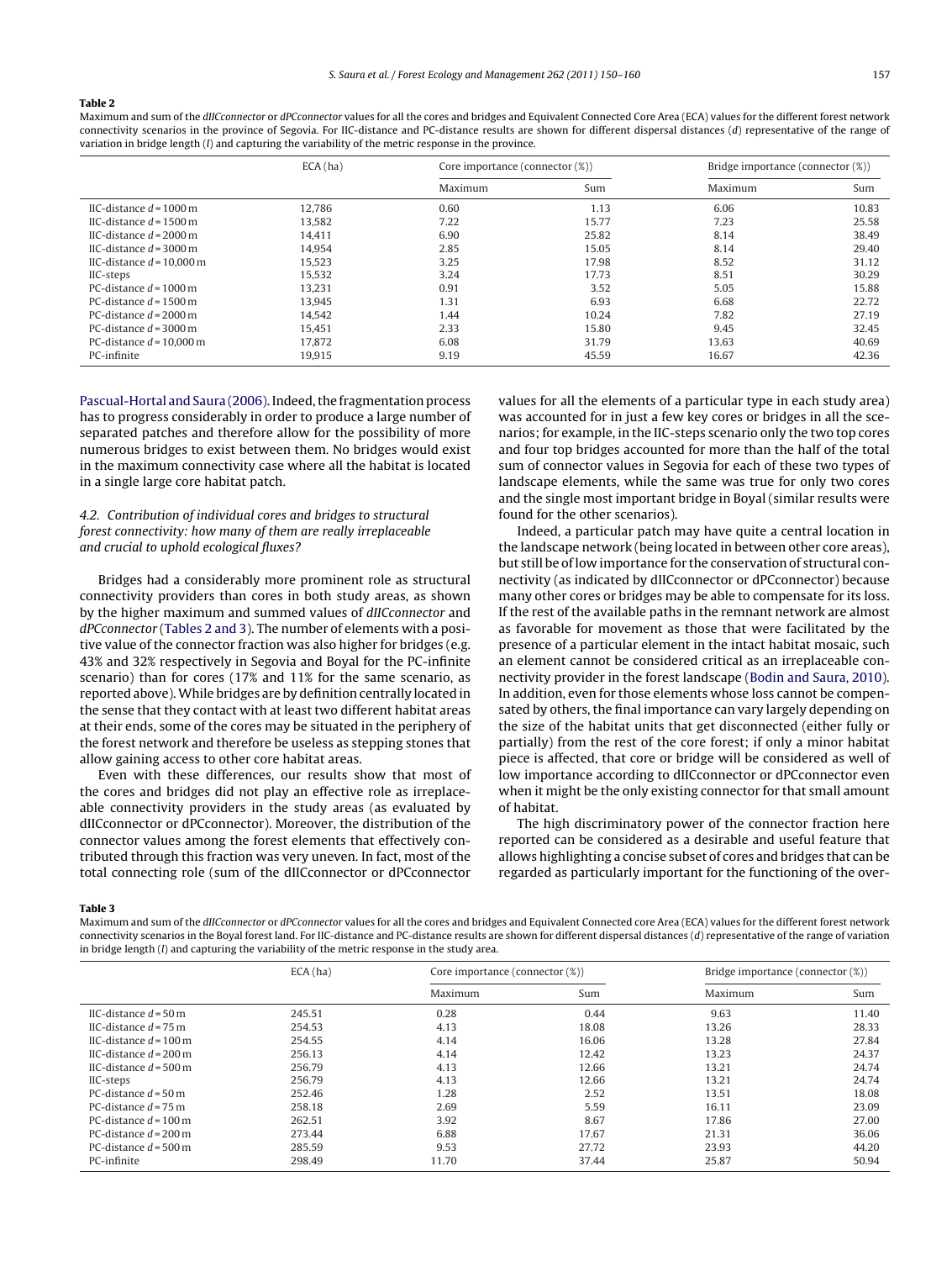#### <span id="page-7-0"></span>**Table 2**

Maximum and sum of the dIICconnector or dPCconnector values for all the cores and bridges and Equivalent Connected Core Area (ECA) values for the different forest network connectivity scenarios in the province of Segovia. For IIC-distance and PC-distance results are shown for different dispersal distances (d) representative of the range of variation in bridge length (l) and capturing the variability of the metric response in the province.

|                                  | ECA(ha) | Core importance (connector (%)) |       | Bridge importance (connector (%)) |       |
|----------------------------------|---------|---------------------------------|-------|-----------------------------------|-------|
|                                  |         | Maximum                         | Sum   | Maximum                           | Sum   |
| IIC-distance $d = 1000$ m        | 12.786  | 0.60                            | 1.13  | 6.06                              | 10.83 |
| IIC-distance $d = 1500$ m        | 13,582  | 7.22                            | 15.77 | 7.23                              | 25.58 |
| IIC-distance $d = 2000$ m        | 14.411  | 6.90                            | 25.82 | 8.14                              | 38.49 |
| IIC-distance $d = 3000$ m        | 14.954  | 2.85                            | 15.05 | 8.14                              | 29.40 |
| IIC-distance $d = 10.000$ m      | 15.523  | 3.25                            | 17.98 | 8.52                              | 31.12 |
| IIC-steps                        | 15.532  | 3.24                            | 17.73 | 8.51                              | 30.29 |
| PC-distance $d = 1000 \text{ m}$ | 13.231  | 0.91                            | 3.52  | 5.05                              | 15.88 |
| PC-distance $d = 1500$ m         | 13.945  | 1.31                            | 6.93  | 6.68                              | 22.72 |
| PC-distance $d = 2000$ m         | 14.542  | 1.44                            | 10.24 | 7.82                              | 27.19 |
| PC-distance $d = 3000$ m         | 15.451  | 2.33                            | 15.80 | 9.45                              | 32.45 |
| PC-distance $d = 10.000$ m       | 17.872  | 6.08                            | 31.79 | 13.63                             | 40.69 |
| PC-infinite                      | 19.915  | 9.19                            | 45.59 | 16.67                             | 42.36 |

[Pascual-Hortal and Saura \(2006\). I](#page-10-0)ndeed, the fragmentation process has to progress considerably in order to produce a large number of separated patches and therefore allow for the possibility of more numerous bridges to exist between them. No bridges would exist in the maximum connectivity case where all the habitat is located in a single large core habitat patch.

## 4.2. Contribution of individual cores and bridges to structural forest connectivity: how many of them are really irreplaceable and crucial to uphold ecological fluxes?

Bridges had a considerably more prominent role as structural connectivity providers than cores in both study areas, as shown by the higher maximum and summed values of dIICconnector and dPCconnector (Tables 2 and 3). The number of elements with a positive value of the connector fraction was also higher for bridges (e.g. 43% and 32% respectively in Segovia and Boyal for the PC-infinite scenario) than for cores (17% and 11% for the same scenario, as reported above).While bridges are by definition centrally located in the sense that they contact with at least two different habitat areas at their ends, some of the cores may be situated in the periphery of the forest network and therefore be useless as stepping stones that allow gaining access to other core habitat areas.

Even with these differences, our results show that most of the cores and bridges did not play an effective role as irreplaceable connectivity providers in the study areas (as evaluated by dIICconnector or dPCconnector). Moreover, the distribution of the connector values among the forest elements that effectively contributed through this fraction was very uneven. In fact, most of the total connecting role (sum of the dIICconnector or dPCconnector

values for all the elements of a particular type in each study area) was accounted for in just a few key cores or bridges in all the scenarios; for example, in the IIC-steps scenario only the two top cores and four top bridges accounted for more than the half of the total sum of connector values in Segovia for each of these two types of landscape elements, while the same was true for only two cores and the single most important bridge in Boyal (similar results were found for the other scenarios).

Indeed, a particular patch may have quite a central location in the landscape network (being located in between other core areas), but still be of low importance for the conservation of structural connectivity (as indicated by dIICconnector or dPCconnector) because many other cores or bridges may be able to compensate for its loss. If the rest of the available paths in the remnant network are almost as favorable for movement as those that were facilitated by the presence of a particular element in the intact habitat mosaic, such an element cannot be considered critical as an irreplaceable connectivity provider in the forest landscape ([Bodin and Saura, 2010\).](#page-9-0) In addition, even for those elements whose loss cannot be compensated by others, the final importance can vary largely depending on the size of the habitat units that get disconnected (either fully or partially) from the rest of the core forest; if only a minor habitat piece is affected, that core or bridge will be considered as well of low importance according to dIICconnector or dPCconnector even when it might be the only existing connector for that small amount of habitat.

The high discriminatory power of the connector fraction here reported can be considered as a desirable and useful feature that allows highlighting a concise subset of cores and bridges that can be regarded as particularly important for the functioning of the over-

#### **Table 3**

Maximum and sum of the dIICconnector or dPCconnector values for all the cores and bridges and Equivalent Connected core Area (ECA) values for the different forest network connectivity scenarios in the Boyal forest land. For IIC-distance and PC-distance results are shown for different dispersal distances (d) representative of the range of variation in bridge length (l) and capturing the variability of the metric response in the study area.

|                          | ECA(ha) | Core importance (connector (%)) |       | Bridge importance (connector (%)) |       |
|--------------------------|---------|---------------------------------|-------|-----------------------------------|-------|
|                          |         | Maximum                         | Sum   | Maximum                           | Sum   |
| IIC-distance $d = 50$ m  | 245.51  | 0.28                            | 0.44  | 9.63                              | 11.40 |
| IIC-distance $d = 75$ m  | 254.53  | 4.13                            | 18.08 | 13.26                             | 28.33 |
| IIC-distance $d = 100$ m | 254.55  | 4.14                            | 16.06 | 13.28                             | 27.84 |
| IIC-distance $d = 200$ m | 256.13  | 4.14                            | 12.42 | 13.23                             | 24.37 |
| IIC-distance $d = 500$ m | 256.79  | 4.13                            | 12.66 | 13.21                             | 24.74 |
| IIC-steps                | 256.79  | 4.13                            | 12.66 | 13.21                             | 24.74 |
| PC-distance $d = 50$ m   | 252.46  | 1.28                            | 2.52  | 13.51                             | 18.08 |
| PC-distance $d = 75$ m   | 258.18  | 2.69                            | 5.59  | 16.11                             | 23.09 |
| PC-distance $d = 100$ m  | 262.51  | 3.92                            | 8.67  | 17.86                             | 27.00 |
| PC-distance $d = 200$ m  | 273.44  | 6.88                            | 17.67 | 21.31                             | 36.06 |
| PC-distance $d = 500$ m  | 285.59  | 9.53                            | 27.72 | 23.93                             | 44.20 |
| PC-infinite              | 298.49  | 11.70                           | 37.44 | 25.87                             | 50.94 |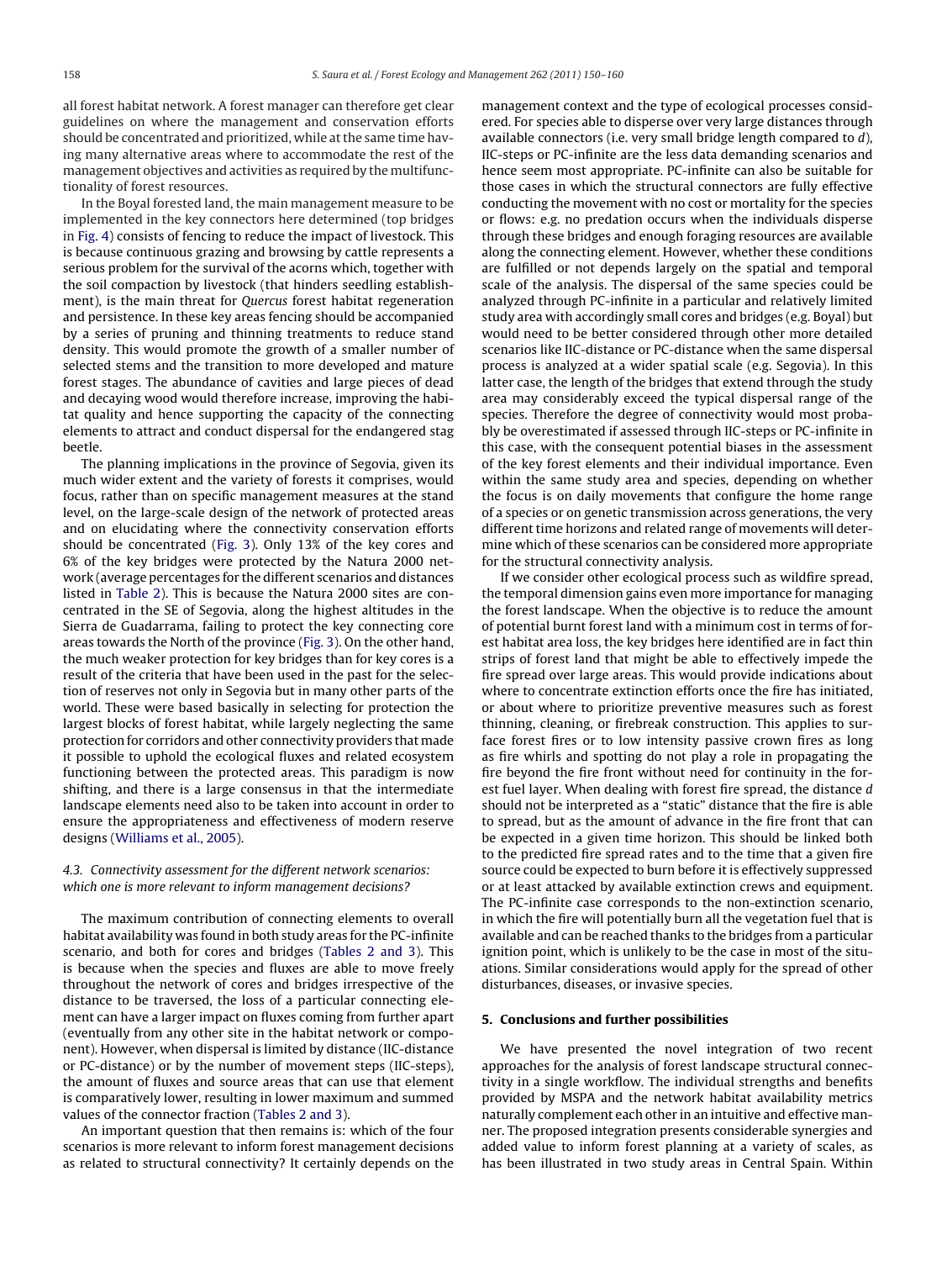all forest habitat network. A forest manager can therefore get clear guidelines on where the management and conservation efforts should be concentrated and prioritized, while at the same time having many alternative areas where to accommodate the rest of the management objectives and activities as required by the multifunctionality of forest resources.

In the Boyal forested land, the main management measure to be implemented in the key connectors here determined (top bridges in [Fig. 4\) c](#page-6-0)onsists of fencing to reduce the impact of livestock. This is because continuous grazing and browsing by cattle represents a serious problem for the survival of the acorns which, together with the soil compaction by livestock (that hinders seedling establishment), is the main threat for Quercus forest habitat regeneration and persistence. In these key areas fencing should be accompanied by a series of pruning and thinning treatments to reduce stand density. This would promote the growth of a smaller number of selected stems and the transition to more developed and mature forest stages. The abundance of cavities and large pieces of dead and decaying wood would therefore increase, improving the habitat quality and hence supporting the capacity of the connecting elements to attract and conduct dispersal for the endangered stag beetle.

The planning implications in the province of Segovia, given its much wider extent and the variety of forests it comprises, would focus, rather than on specific management measures at the stand level, on the large-scale design of the network of protected areas and on elucidating where the connectivity conservation efforts should be concentrated [\(Fig. 3\).](#page-6-0) Only 13% of the key cores and 6% of the key bridges were protected by the Natura 2000 network (average percentages for the different scenarios and distances listed in [Table 2\).](#page-7-0) This is because the Natura 2000 sites are concentrated in the SE of Segovia, along the highest altitudes in the Sierra de Guadarrama, failing to protect the key connecting core areas towards the North of the province ([Fig. 3\).](#page-6-0) On the other hand, the much weaker protection for key bridges than for key cores is a result of the criteria that have been used in the past for the selection of reserves not only in Segovia but in many other parts of the world. These were based basically in selecting for protection the largest blocks of forest habitat, while largely neglecting the same protection for corridors and other connectivity providers that made it possible to uphold the ecological fluxes and related ecosystem functioning between the protected areas. This paradigm is now shifting, and there is a large consensus in that the intermediate landscape elements need also to be taken into account in order to ensure the appropriateness and effectiveness of modern reserve designs ([Williams et al., 2005\).](#page-10-0)

## 4.3. Connectivity assessment for the different network scenarios: which one is more relevant to inform management decisions?

The maximum contribution of connecting elements to overall habitat availability was found in both study areas for the PC-infinite scenario, and both for cores and bridges ([Tables 2 and 3\)](#page-7-0). This is because when the species and fluxes are able to move freely throughout the network of cores and bridges irrespective of the distance to be traversed, the loss of a particular connecting element can have a larger impact on fluxes coming from further apart (eventually from any other site in the habitat network or component). However, when dispersal is limited by distance (IIC-distance or PC-distance) or by the number of movement steps (IIC-steps), the amount of fluxes and source areas that can use that element is comparatively lower, resulting in lower maximum and summed values of the connector fraction ([Tables 2 and 3\).](#page-7-0)

An important question that then remains is: which of the four scenarios is more relevant to inform forest management decisions as related to structural connectivity? It certainly depends on the management context and the type of ecological processes considered. For species able to disperse over very large distances through available connectors (i.e. very small bridge length compared to  $d$ ), IIC-steps or PC-infinite are the less data demanding scenarios and hence seem most appropriate. PC-infinite can also be suitable for those cases in which the structural connectors are fully effective conducting the movement with no cost or mortality for the species or flows: e.g. no predation occurs when the individuals disperse through these bridges and enough foraging resources are available along the connecting element. However, whether these conditions are fulfilled or not depends largely on the spatial and temporal scale of the analysis. The dispersal of the same species could be analyzed through PC-infinite in a particular and relatively limited study area with accordingly small cores and bridges (e.g. Boyal) but would need to be better considered through other more detailed scenarios like IIC-distance or PC-distance when the same dispersal process is analyzed at a wider spatial scale (e.g. Segovia). In this latter case, the length of the bridges that extend through the study area may considerably exceed the typical dispersal range of the species. Therefore the degree of connectivity would most probably be overestimated if assessed through IIC-steps or PC-infinite in this case, with the consequent potential biases in the assessment of the key forest elements and their individual importance. Even within the same study area and species, depending on whether the focus is on daily movements that configure the home range of a species or on genetic transmission across generations, the very different time horizons and related range of movements will determine which of these scenarios can be considered more appropriate for the structural connectivity analysis.

If we consider other ecological process such as wildfire spread, the temporal dimension gains even more importance for managing the forest landscape. When the objective is to reduce the amount of potential burnt forest land with a minimum cost in terms of forest habitat area loss, the key bridges here identified are in fact thin strips of forest land that might be able to effectively impede the fire spread over large areas. This would provide indications about where to concentrate extinction efforts once the fire has initiated, or about where to prioritize preventive measures such as forest thinning, cleaning, or firebreak construction. This applies to surface forest fires or to low intensity passive crown fires as long as fire whirls and spotting do not play a role in propagating the fire beyond the fire front without need for continuity in the forest fuel layer. When dealing with forest fire spread, the distance d should not be interpreted as a "static" distance that the fire is able to spread, but as the amount of advance in the fire front that can be expected in a given time horizon. This should be linked both to the predicted fire spread rates and to the time that a given fire source could be expected to burn before it is effectively suppressed or at least attacked by available extinction crews and equipment. The PC-infinite case corresponds to the non-extinction scenario, in which the fire will potentially burn all the vegetation fuel that is available and can be reached thanks to the bridges from a particular ignition point, which is unlikely to be the case in most of the situations. Similar considerations would apply for the spread of other disturbances, diseases, or invasive species.

#### **5. Conclusions and further possibilities**

We have presented the novel integration of two recent approaches for the analysis of forest landscape structural connectivity in a single workflow. The individual strengths and benefits provided by MSPA and the network habitat availability metrics naturally complement each other in an intuitive and effective manner. The proposed integration presents considerable synergies and added value to inform forest planning at a variety of scales, as has been illustrated in two study areas in Central Spain. Within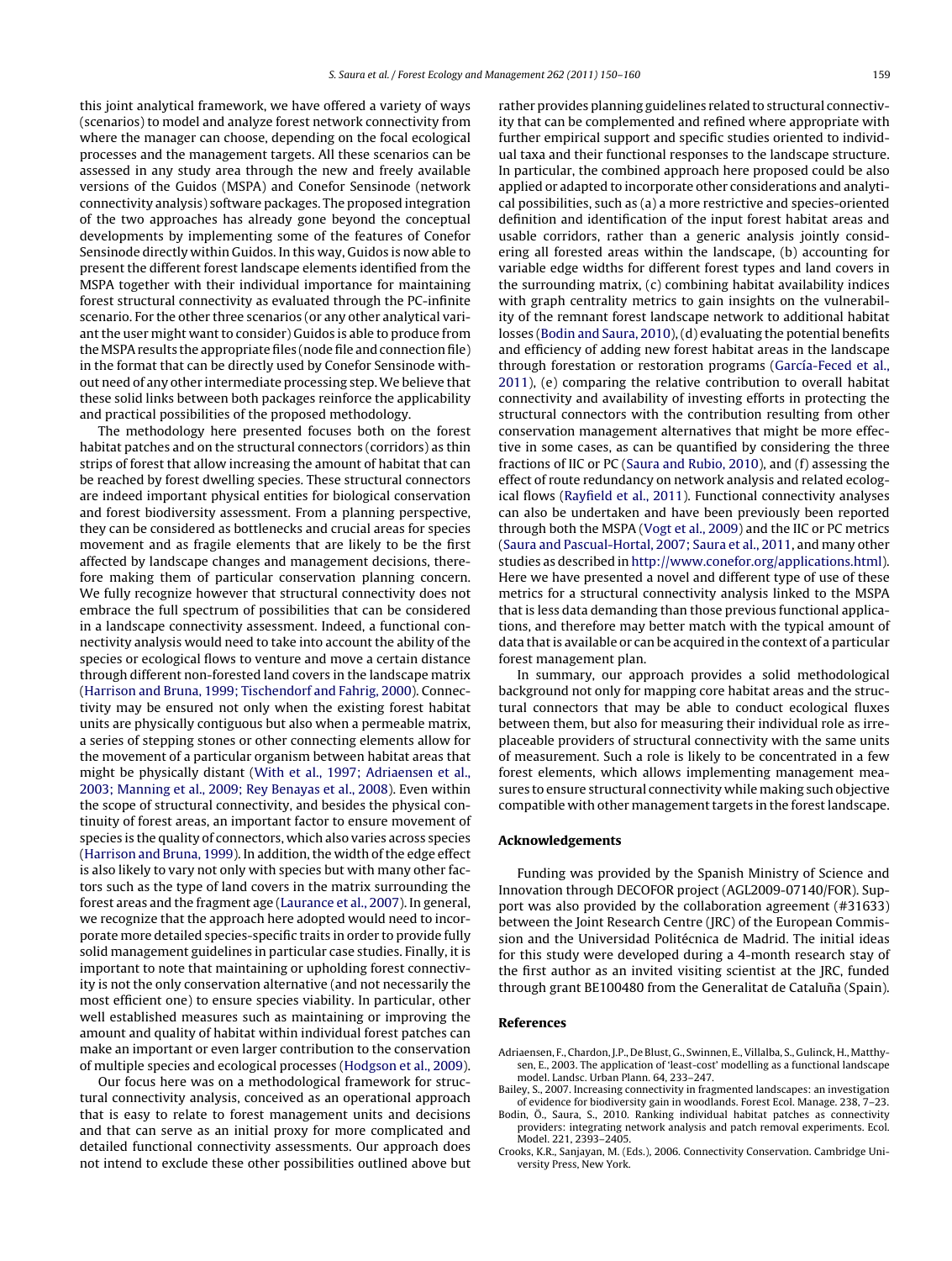<span id="page-9-0"></span>this joint analytical framework, we have offered a variety of ways (scenarios) to model and analyze forest network connectivity from where the manager can choose, depending on the focal ecological processes and the management targets. All these scenarios can be assessed in any study area through the new and freely available versions of the Guidos (MSPA) and Conefor Sensinode (network connectivity analysis) software packages. The proposed integration of the two approaches has already gone beyond the conceptual developments by implementing some of the features of Conefor Sensinode directly within Guidos. In this way, Guidos is now able to present the different forest landscape elements identified from the MSPA together with their individual importance for maintaining forest structural connectivity as evaluated through the PC-infinite scenario. For the other three scenarios (or any other analytical variant the user might want to consider) Guidos is able to produce from theMSPA results the appropriate files (node file and connection file) in the format that can be directly used by Conefor Sensinode without need of any other intermediate processing step.We believe that these solid links between both packages reinforce the applicability and practical possibilities of the proposed methodology.

The methodology here presented focuses both on the forest habitat patches and on the structural connectors (corridors) as thin strips of forest that allow increasing the amount of habitat that can be reached by forest dwelling species. These structural connectors are indeed important physical entities for biological conservation and forest biodiversity assessment. From a planning perspective, they can be considered as bottlenecks and crucial areas for species movement and as fragile elements that are likely to be the first affected by landscape changes and management decisions, therefore making them of particular conservation planning concern. We fully recognize however that structural connectivity does not embrace the full spectrum of possibilities that can be considered in a landscape connectivity assessment. Indeed, a functional connectivity analysis would need to take into account the ability of the species or ecological flows to venture and move a certain distance through different non-forested land covers in the landscape matrix ([Harrison and Bruna, 1999; Tischendorf and Fahrig, 2000\).](#page-10-0) Connectivity may be ensured not only when the existing forest habitat units are physically contiguous but also when a permeable matrix, a series of stepping stones or other connecting elements allow for the movement of a particular organism between habitat areas that might be physically distant [\(With et al., 1997; Adriaensen et al.,](#page-10-0) [2003; Manning et al., 2009; Rey Benayas et al., 2008\).](#page-10-0) Even within the scope of structural connectivity, and besides the physical continuity of forest areas, an important factor to ensure movement of species is the quality of connectors, which also varies across species ([Harrison and Bruna, 1999\).](#page-10-0) In addition, the width of the edge effect is also likely to vary not only with species but with many other factors such as the type of land covers in the matrix surrounding the forest areas and the fragment age ([Laurance et al., 2007\).](#page-10-0) In general, we recognize that the approach here adopted would need to incorporate more detailed species-specific traits in order to provide fully solid management guidelines in particular case studies. Finally, it is important to note that maintaining or upholding forest connectivity is not the only conservation alternative (and not necessarily the most efficient one) to ensure species viability. In particular, other well established measures such as maintaining or improving the amount and quality of habitat within individual forest patches can make an important or even larger contribution to the conservation of multiple species and ecological processes ([Hodgson et al., 2009\).](#page-10-0)

Our focus here was on a methodological framework for structural connectivity analysis, conceived as an operational approach that is easy to relate to forest management units and decisions and that can serve as an initial proxy for more complicated and detailed functional connectivity assessments. Our approach does not intend to exclude these other possibilities outlined above but rather provides planning guidelines related to structural connectivity that can be complemented and refined where appropriate with further empirical support and specific studies oriented to individual taxa and their functional responses to the landscape structure. In particular, the combined approach here proposed could be also applied or adapted to incorporate other considerations and analytical possibilities, such as (a) a more restrictive and species-oriented definition and identification of the input forest habitat areas and usable corridors, rather than a generic analysis jointly considering all forested areas within the landscape, (b) accounting for variable edge widths for different forest types and land covers in the surrounding matrix, (c) combining habitat availability indices with graph centrality metrics to gain insights on the vulnerability of the remnant forest landscape network to additional habitat losses (Bodin and Saura, 2010), (d) evaluating the potential benefits and efficiency of adding new forest habitat areas in the landscape through forestation or restoration programs ([García-Feced et al.,](#page-10-0) [2011\),](#page-10-0) (e) comparing the relative contribution to overall habitat connectivity and availability of investing efforts in protecting the structural connectors with the contribution resulting from other conservation management alternatives that might be more effective in some cases, as can be quantified by considering the three fractions of IIC or PC [\(Saura and Rubio, 2010\),](#page-10-0) and (f) assessing the effect of route redundancy on network analysis and related ecological flows ([Rayfield et al., 2011\).](#page-10-0) Functional connectivity analyses can also be undertaken and have been previously been reported through both the MSPA ([Vogt et al., 2009\)](#page-10-0) and the IIC or PC metrics [\(Saura and Pascual-Hortal, 2007; Saura et al., 2011, a](#page-10-0)nd many other studies as described in [http://www.conefor.org/applications.html\)](http://www.conefor.org/applications.html). Here we have presented a novel and different type of use of these metrics for a structural connectivity analysis linked to the MSPA that is less data demanding than those previous functional applications, and therefore may better match with the typical amount of data that is available or can be acquired in the context of a particular forest management plan.

In summary, our approach provides a solid methodological background not only for mapping core habitat areas and the structural connectors that may be able to conduct ecological fluxes between them, but also for measuring their individual role as irreplaceable providers of structural connectivity with the same units of measurement. Such a role is likely to be concentrated in a few forest elements, which allows implementing management measures to ensure structural connectivity while making such objective compatible with other management targets in the forest landscape.

### **Acknowledgements**

Funding was provided by the Spanish Ministry of Science and Innovation through DECOFOR project (AGL2009-07140/FOR). Support was also provided by the collaboration agreement (#31633) between the Joint Research Centre (JRC) of the European Commission and the Universidad Politécnica de Madrid. The initial ideas for this study were developed during a 4-month research stay of the first author as an invited visiting scientist at the JRC, funded through grant BE100480 from the Generalitat de Cataluña (Spain).

#### **References**

- Adriaensen, F., Chardon, J.P., De Blust, G., Swinnen, E., Villalba, S., Gulinck, H., Matthysen, E., 2003. The application of 'least-cost' modelling as a functional landscape model. Landsc. Urban Plann. 64, 233–247.
- Bailey, S., 2007. Increasing connectivity in fragmented landscapes: an investigation of evidence for biodiversity gain in woodlands. Forest Ecol. Manage. 238, 7–23.
- Bodin, Ö., Saura, S., 2010. Ranking individual habitat patches as connectivity providers: integrating network analysis and patch removal experiments. Ecol. Model. 221, 2393–2405.
- Crooks, K.R., Sanjayan, M. (Eds.), 2006. Connectivity Conservation. Cambridge University Press, New York.